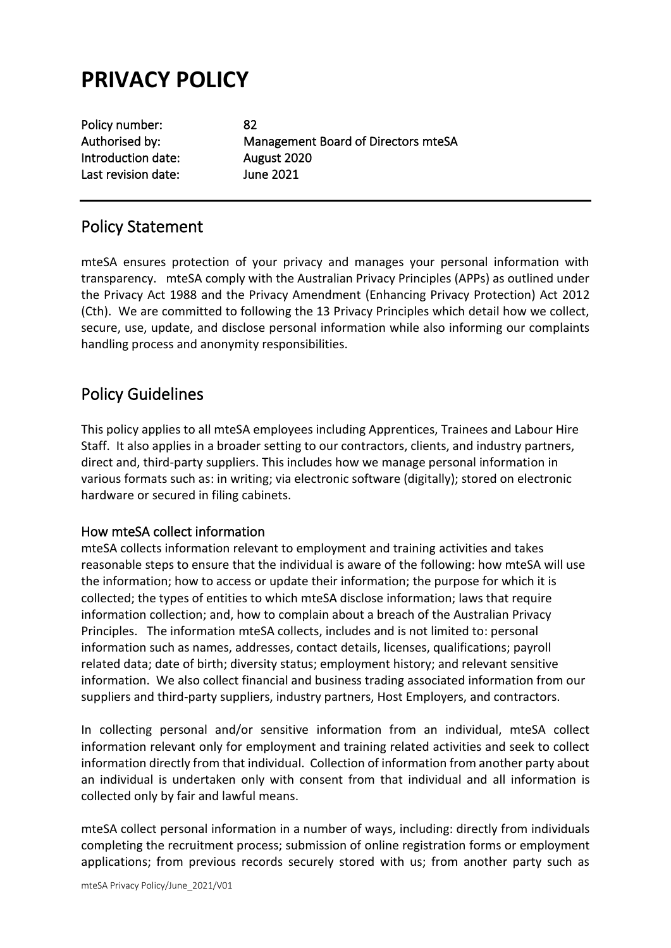# **PRIVACY POLICY**

| Policy number:      | 82                                  |
|---------------------|-------------------------------------|
| Authorised by:      | Management Board of Directors mteSA |
| Introduction date:  | August 2020                         |
| Last revision date: | June 2021                           |
|                     |                                     |

## Policy Statement

mteSA ensures protection of your privacy and manages your personal information with transparency. mteSA comply with the Australian Privacy Principles (APPs) as outlined under the Privacy Act 1988 and the Privacy Amendment (Enhancing Privacy Protection) Act 2012 (Cth). We are committed to following the 13 Privacy Principles which detail how we collect, secure, use, update, and disclose personal information while also informing our complaints handling process and anonymity responsibilities.

## Policy Guidelines

This policy applies to all mteSA employees including Apprentices, Trainees and Labour Hire Staff. It also applies in a broader setting to our contractors, clients, and industry partners, direct and, third-party suppliers. This includes how we manage personal information in various formats such as: in writing; via electronic software (digitally); stored on electronic hardware or secured in filing cabinets.

#### How mteSA collect information

mteSA collects information relevant to employment and training activities and takes reasonable steps to ensure that the individual is aware of the following: how mteSA will use the information; how to access or update their information; the purpose for which it is collected; the types of entities to which mteSA disclose information; laws that require information collection; and, how to complain about a breach of the Australian Privacy Principles. The information mteSA collects, includes and is not limited to: personal information such as names, addresses, contact details, licenses, qualifications; payroll related data; date of birth; diversity status; employment history; and relevant sensitive information. We also collect financial and business trading associated information from our suppliers and third-party suppliers, industry partners, Host Employers, and contractors.

In collecting personal and/or sensitive information from an individual, mteSA collect information relevant only for employment and training related activities and seek to collect information directly from that individual. Collection of information from another party about an individual is undertaken only with consent from that individual and all information is collected only by fair and lawful means.

mteSA collect personal information in a number of ways, including: directly from individuals completing the recruitment process; submission of online registration forms or employment applications; from previous records securely stored with us; from another party such as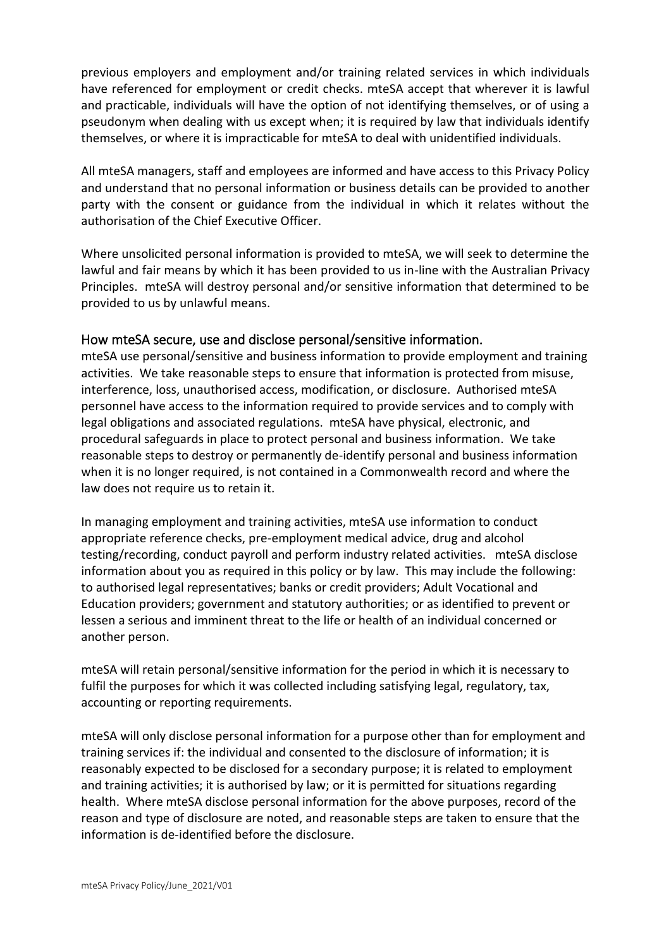previous employers and employment and/or training related services in which individuals have referenced for employment or credit checks. mteSA accept that wherever it is lawful and practicable, individuals will have the option of not identifying themselves, or of using a pseudonym when dealing with us except when; it is required by law that individuals identify themselves, or where it is impracticable for mteSA to deal with unidentified individuals.

All mteSA managers, staff and employees are informed and have access to this Privacy Policy and understand that no personal information or business details can be provided to another party with the consent or guidance from the individual in which it relates without the authorisation of the Chief Executive Officer.

Where unsolicited personal information is provided to mteSA, we will seek to determine the lawful and fair means by which it has been provided to us in-line with the Australian Privacy Principles. mteSA will destroy personal and/or sensitive information that determined to be provided to us by unlawful means.

#### How mteSA secure, use and disclose personal/sensitive information.

mteSA use personal/sensitive and business information to provide employment and training activities. We take reasonable steps to ensure that information is protected from misuse, interference, loss, unauthorised access, modification, or disclosure. Authorised mteSA personnel have access to the information required to provide services and to comply with legal obligations and associated regulations. mteSA have physical, electronic, and procedural safeguards in place to protect personal and business information. We take reasonable steps to destroy or permanently de-identify personal and business information when it is no longer required, is not contained in a Commonwealth record and where the law does not require us to retain it.

In managing employment and training activities, mteSA use information to conduct appropriate reference checks, pre-employment medical advice, drug and alcohol testing/recording, conduct payroll and perform industry related activities. mteSA disclose information about you as required in this policy or by law. This may include the following: to authorised legal representatives; banks or credit providers; Adult Vocational and Education providers; government and statutory authorities; or as identified to prevent or lessen a serious and imminent threat to the life or health of an individual concerned or another person.

mteSA will retain personal/sensitive information for the period in which it is necessary to fulfil the purposes for which it was collected including satisfying legal, regulatory, tax, accounting or reporting requirements.

mteSA will only disclose personal information for a purpose other than for employment and training services if: the individual and consented to the disclosure of information; it is reasonably expected to be disclosed for a secondary purpose; it is related to employment and training activities; it is authorised by law; or it is permitted for situations regarding health. Where mteSA disclose personal information for the above purposes, record of the reason and type of disclosure are noted, and reasonable steps are taken to ensure that the information is de-identified before the disclosure.